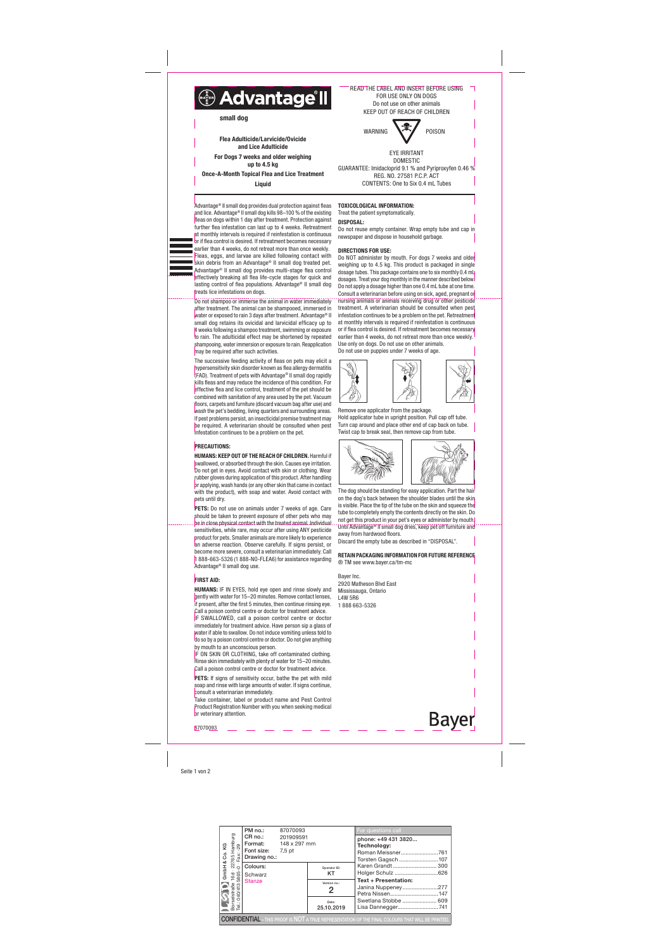Seite 1 von 2

Advantage® II small dog provides dual protection against fleas and lice. Advantage® II small dog kills 98–100 % of the existing fleas on dogs within 1 day after treatment. Protection against further flea infestation can last up to 4 weeks. Retreatment at monthly intervals is required if reinfestation is continuous or if flea control is desired. If retreatment becomes necessary earlier than 4 weeks, do not retreat more than once weekly. Fleas, eggs, and larvae are killed following contact with skin debris from an Advantage® II small dog treated pet. Advantage® II small dog provides multi-stage flea control effectively breaking all flea life-cycle stages for quick and lasting control of flea populations. Advantage® II small dog treats lice infestations on dogs.

Do not shampoo or immerse the animal in water immediately after treatment. The animal can be shampooed, immersed in water or exposed to rain 3 days after treatment. Advantage® II small dog retains its ovicidal and larvicidal efficacy up to 4 weeks following a shampoo treatment, swimming or exposure to rain. The adulticidal effect may be shortened by repeated shampooing, water immersion or exposure to rain. Reapplication may be required after such activities.

PETS: Do not use on animals under 7 weeks of age. Care should be taken to prevent exposure of other pets who may be in close physical contact with the treated animal. Individual sensitivities, while rare, may occur after using ANY pesticide product for pets. Smaller animals are more likely to experience an adverse reaction. Observe carefully. If signs persist, or become more severe, consult a veterinarian immediately. Call 1 888-663-5326 (1 888-NO-FLEA6) for assistance regarding Advantage® II small dog use.

### **FIRST AID:**

The successive feeding activity of fleas on pets may elicit a hypersensitivity skin disorder known as flea allergy dermatitis (FAD). Treatment of pets with Advantage® II small dog rapidly kills fleas and may reduce the incidence of this condition. For effective flea and lice control, treatment of the pet should be combined with sanitation of any area used by the pet. Vacuum floors, carpets and furniture (discard vacuum bag after use) and wash the pet's bedding, living quarters and surrounding areas. If pest problems persist, an insecticidal premise treatment may be required. A veterinarian should be consulted when pest infestation continues to be a problem on the pet.

## **PRECAUTIONS:**

IF ON SKIN OR CLOTHING, take off contaminated clothing. Rinse skin immediately with plenty of water for 15–20 minutes. Call a poison control centre or doctor for treatment advice.

PETS: If signs of sensitivity occur, bathe the pet with mild soap and rinse with large amounts of water. If signs continue, consult a veterinarian immediately.

HUMANS: KEEP OUT OF THE REACH OF CHILDREN. Harmful if swallowed, or absorbed through the skin. Causes eye irritation. Do not get in eyes. Avoid contact with skin or clothing. Wear rubber gloves during application of this product. After handling or applying, wash hands (or any other skin that came in contact with the product), with soap and water. Avoid contact with pets until dry.

Do NOT administer by mouth. For dogs 7 weeks and older weighing up to 4.5 kg. This product is packaged in single dosage tubes. This package contains one to six monthly 0.4 mL dosages. Treat your dog monthly in the manner described below. Do not apply a dosage higher than one 0.4 mL tube at one time. Consult a veterinarian before using on sick, aged, pregnant or nursing animals or animals receiving drug or other pesticide treatment. A veterinarian should be consulted when pest infestation continues to be a problem on the pet. Retreatment at monthly intervals is required if reinfestation is continuous or if flea control is desired. If retreatment becomes necessary earlier than 4 weeks, do not retreat more than once weekly. Use only on dogs. Do not use on other animals.

**Bayer** 87070093



HUMANS: IF IN EYES, hold eye open and rinse slowly and gently with water for 15–20 minutes. Remove contact lenses, if present, after the first 5 minutes, then continue rinsing eye. Call a poison control centre or doctor for treatment advice. IF SWALLOWED, call a poison control centre or doctor immediately for treatment advice. Have person sip a glass of water if able to swallow. Do not induce vomiting unless told to do so by a poison control centre or doctor. Do not give anything by mouth to an unconscious person.

Take container, label or product name and Pest Control Product Registration Number with you when seeking medical or veterinary attention.

# TOXICOLOGICAL INFORMATION:

Treat the patient symptomatically.

DISPOSAL: Do not reuse empty container. Wrap empty tube and cap in newspaper and dispose in household garbage.

### DIRECTIONS FOR USE:



Remove one applicator from the package. Hold applicator tube in upright position. Pull cap off tube. Turn cap around and place other end of cap back on tube. Twist cap to break seal, then remove cap from tube.



The dog should be standing for easy application. Part the hair on the dog's back between the shoulder blades until the skin is visible. Place the tip of the tube on the skin and squeeze the tube to completely empty the contents directly on the skin. Do not get this product in your pet's eyes or administer by mouth. Until Advantage® II small dog dries, keep pet off furniture and away from hardwood floors.

Discard the empty tube as described in "DISPOSAL".

### RETAIN PACKAGING INFORMATION FOR FUTURE REFERENCE ® TM see www.bayer.ca/tm-mc

Bayer Inc. 2920 Matheson Blvd East Mississauga, Ontario L4W 5R6 1 888 663-5326

READ THE LABEL AND INSERT BEFORE USING

FOR USE ONLY ON DOGS Do not use on other animals KEEP OUT OF REACH OF CHILDREN WARNING V<sup>3</sup>/ POISON EYE IRRITANT

DOMESTIC GUARANTEE: Imidacloprid 9.1 % and Pyriproxyfen 0.46 % REG. NO. 27581 P.C.P. ACT CONTENTS: One to Six 0.4 mL Tubes

Flea Adulticide/Larvicide/Ovicide and Lice Adulticide

For Dogs 7 weeks and older weighing up to 4.5 kg

Once-A-Month Topical Flea and Lice Treatment Liquid

| Co.KG                                                                                                    | PM no.:                                                                                                                                                                    | 87070093  |                     | For questions call                                                                                                |  |  |  |  |
|----------------------------------------------------------------------------------------------------------|----------------------------------------------------------------------------------------------------------------------------------------------------------------------------|-----------|---------------------|-------------------------------------------------------------------------------------------------------------------|--|--|--|--|
|                                                                                                          | <b>Format:</b> 148 x 297 mm<br>Font size: 7,5 pt                                                                                                                           | 201909591 |                     | phone: +49 431 3820<br>Technology:<br>Roman Meissner761                                                           |  |  |  |  |
| ∝<br>GmbH                                                                                                | Prima:<br>Format:<br>Format:<br>The Reviewing no.:<br>CR no.:<br>Format:<br>Format:<br>Format:<br>Format:<br>Format:<br>Stanze<br>Stanze<br>Stanze<br>Stanze<br>The Stanze |           | Operator ID:<br>KT  | Torsten Gagsch 107<br>Karen Grandt  300<br>Holger Schulz 626<br><b>Text + Presentation:</b><br>Janina Nuppeney277 |  |  |  |  |
|                                                                                                          |                                                                                                                                                                            |           | Version no.:<br>2   |                                                                                                                   |  |  |  |  |
| Borselstraße<br>Tel.: 040/4135                                                                           |                                                                                                                                                                            |           | Date:<br>25.10.2019 | Swetlana Stobbe  609<br>Lisa Dannegger741                                                                         |  |  |  |  |
| <b>CONFIDENTIAL</b> – THIS PROOF IS NOT A TRUE REPRESENTATION OF THE FINAL COLOURS THAT WILL BE PRINTED. |                                                                                                                                                                            |           |                     |                                                                                                                   |  |  |  |  |